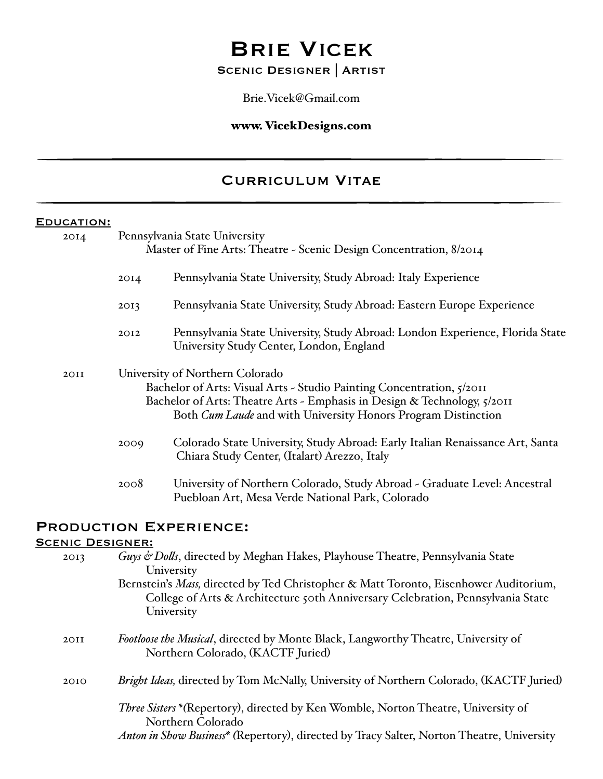# Brie Vicek

# Scenic Designer | Artist

Brie.Vicek@Gmail.com

### www. VicekDesigns.com

# Curriculum Vitae

### EDUCATION:

| 20I4 |      | Pennsylvania State University<br>Master of Fine Arts: Theatre - Scenic Design Concentration, 8/2014                                                                                                                                                          |
|------|------|--------------------------------------------------------------------------------------------------------------------------------------------------------------------------------------------------------------------------------------------------------------|
|      | 20I4 | Pennsylvania State University, Study Abroad: Italy Experience                                                                                                                                                                                                |
|      | 2013 | Pennsylvania State University, Study Abroad: Eastern Europe Experience                                                                                                                                                                                       |
|      | 2012 | Pennsylvania State University, Study Abroad: London Experience, Florida State<br>University Study Center, London, England                                                                                                                                    |
| 2OII |      | University of Northern Colorado<br>Bachelor of Arts: Visual Arts - Studio Painting Concentration, 5/2011<br>Bachelor of Arts: Theatre Arts - Emphasis in Design & Technology, 5/2011<br>Both <i>Cum Laude</i> and with University Honors Program Distinction |
|      | 2009 | Colorado State University, Study Abroad: Early Italian Renaissance Art, Santa<br>Chiara Study Center, (Italart) Arezzo, Italy                                                                                                                                |
|      | 2008 | University of Northern Colorado, Study Abroad - Graduate Level: Ancestral<br>Puebloan Art, Mesa Verde National Park, Colorado                                                                                                                                |
|      |      | <b>PRODUCTION EXPERIENCE:</b>                                                                                                                                                                                                                                |

## SCENIC DESIGNER:

| 2013 | Guys & Dolls, directed by Meghan Hakes, Playhouse Theatre, Pennsylvania State<br>University                                                                                                                 |
|------|-------------------------------------------------------------------------------------------------------------------------------------------------------------------------------------------------------------|
|      | Bernstein's Mass, directed by Ted Christopher & Matt Toronto, Eisenhower Auditorium,<br>College of Arts & Architecture 50th Anniversary Celebration, Pennsylvania State<br>University                       |
| 20II | Footloose the Musical, directed by Monte Black, Langworthy Theatre, University of<br>Northern Colorado, (KACTF Juried)                                                                                      |
| 2010 | Bright Ideas, directed by Tom McNally, University of Northern Colorado, (KACTF Juried)                                                                                                                      |
|      | <i>Three Sisters</i> * (Repertory), directed by Ken Womble, Norton Theatre, University of<br>Northern Colorado<br>Anton in Show Business* (Repertory), directed by Tracy Salter, Norton Theatre, University |
|      |                                                                                                                                                                                                             |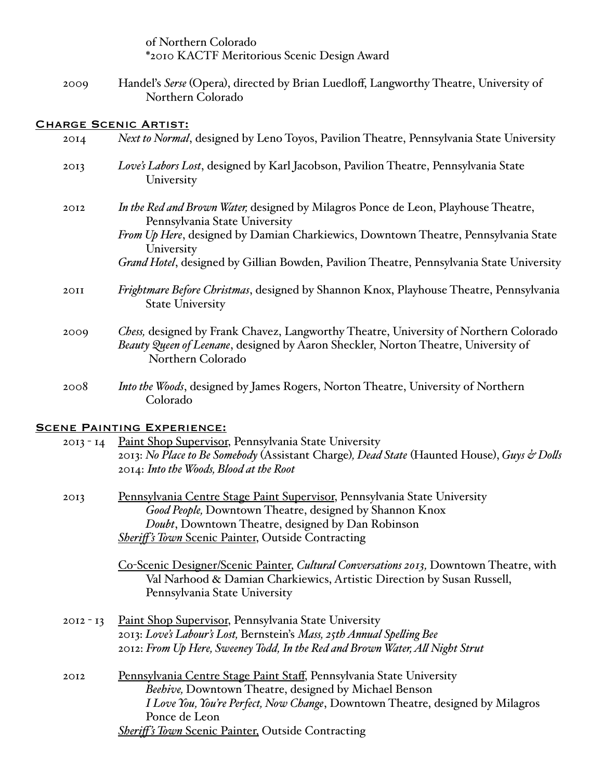|             | of Northern Colorado<br>*2010 KACTF Meritorious Scenic Design Award                                                                                                                                                                                                                           |
|-------------|-----------------------------------------------------------------------------------------------------------------------------------------------------------------------------------------------------------------------------------------------------------------------------------------------|
| 2009        | Handel's Serse (Opera), directed by Brian Luedloff, Langworthy Theatre, University of<br>Northern Colorado                                                                                                                                                                                    |
|             | <b>CHARGE SCENIC ARTIST:</b>                                                                                                                                                                                                                                                                  |
| 20I4        | Next to Normal, designed by Leno Toyos, Pavilion Theatre, Pennsylvania State University                                                                                                                                                                                                       |
| 2013        | Love's Labors Lost, designed by Karl Jacobson, Pavilion Theatre, Pennsylvania State<br>University                                                                                                                                                                                             |
| 2012        | In the Red and Brown Water, designed by Milagros Ponce de Leon, Playhouse Theatre,<br>Pennsylvania State University<br>From Up Here, designed by Damian Charkiewics, Downtown Theatre, Pennsylvania State<br>University                                                                       |
|             | Grand Hotel, designed by Gillian Bowden, Pavilion Theatre, Pennsylvania State University                                                                                                                                                                                                      |
| <b>20II</b> | Frightmare Before Christmas, designed by Shannon Knox, Playhouse Theatre, Pennsylvania<br><b>State University</b>                                                                                                                                                                             |
| 2009        | Chess, designed by Frank Chavez, Langworthy Theatre, University of Northern Colorado<br>Beauty Queen of Leenane, designed by Aaron Sheckler, Norton Theatre, University of<br>Northern Colorado                                                                                               |
| 2008        | Into the Woods, designed by James Rogers, Norton Theatre, University of Northern<br>Colorado                                                                                                                                                                                                  |
|             | <b>SCENE PAINTING EXPERIENCE:</b>                                                                                                                                                                                                                                                             |
| $2013 - 14$ | Paint Shop Supervisor, Pennsylvania State University<br>2013: No Place to Be Somebody (Assistant Charge), Dead State (Haunted House), Guys & Dolls<br>2014: Into the Woods, Blood at the Root                                                                                                 |
| 2013        | Pennsylvania Centre Stage Paint Supervisor, Pennsylvania State University<br>Good People, Downtown Theatre, designed by Shannon Knox<br>Doubt, Downtown Theatre, designed by Dan Robinson<br><b>Sheriff's Town Scenic Painter, Outside Contracting</b>                                        |
|             | Co-Scenic Designer/Scenic Painter, Cultural Conversations 2013, Downtown Theatre, with<br>Val Narhood & Damian Charkiewics, Artistic Direction by Susan Russell,<br>Pennsylvania State University                                                                                             |
| $2012 - 13$ | <b>Paint Shop Supervisor, Pennsylvania State University</b><br>2013: Love's Labour's Lost, Bernstein's Mass, 25th Annual Spelling Bee<br>2012: From Up Here, Sweeney Todd, In the Red and Brown Water, All Night Strut                                                                        |
| 2012        | Pennsylvania Centre Stage Paint Staff, Pennsylvania State University<br>Beehive, Downtown Theatre, designed by Michael Benson<br>I Love You, You're Perfect, Now Change, Downtown Theatre, designed by Milagros<br>Ponce de Leon<br><b>Sheriff's Town Scenic Painter, Outside Contracting</b> |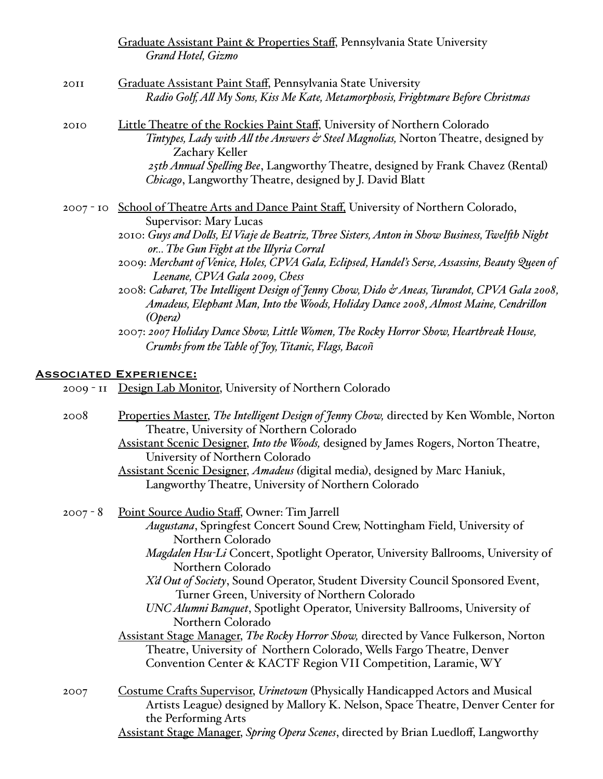|             | Graduate Assistant Paint & Properties Staff, Pennsylvania State University<br>Grand Hotel, Gizmo                                                                                                                                                                                                                                                                                                                                                                                                                                                                                                                                                                                                                                                                                         |
|-------------|------------------------------------------------------------------------------------------------------------------------------------------------------------------------------------------------------------------------------------------------------------------------------------------------------------------------------------------------------------------------------------------------------------------------------------------------------------------------------------------------------------------------------------------------------------------------------------------------------------------------------------------------------------------------------------------------------------------------------------------------------------------------------------------|
| 2OII        | Graduate Assistant Paint Staff, Pennsylvania State University<br>Radio Golf, All My Sons, Kiss Me Kate, Metamorphosis, Frightmare Before Christmas                                                                                                                                                                                                                                                                                                                                                                                                                                                                                                                                                                                                                                       |
| 2010        | Little Theatre of the Rockies Paint Staff, University of Northern Colorado<br>Tintypes, Lady with All the Answers & Steel Magnolias, Norton Theatre, designed by<br>Zachary Keller<br>25th Annual Spelling Bee, Langworthy Theatre, designed by Frank Chavez (Rental)<br>Chicago, Langworthy Theatre, designed by J. David Blatt                                                                                                                                                                                                                                                                                                                                                                                                                                                         |
|             | 2007 - 10 School of Theatre Arts and Dance Paint Staff, University of Northern Colorado,<br>Supervisor: Mary Lucas<br>2010: Guys and Dolls, El Viaje de Beatriz, Three Sisters, Anton in Show Business, Twelfth Night<br>or The Gun Fight at the Illyria Corral<br>2009: Merchant of Venice, Holes, CPVA Gala, Eclipsed, Handel's Serse, Assassins, Beauty Queen of<br>Leenane, CPVA Gala 2009, Chess<br>2008: Cabaret, The Intelligent Design of Jenny Chow, Dido & Aneas, Turandot, CPVA Gala 2008,<br>Amadeus, Elephant Man, Into the Woods, Holiday Dance 2008, Almost Maine, Cendrillon<br>(Opera)<br>2007: 2007 Holiday Dance Show, Little Women, The Rocky Horror Show, Heartbreak House,<br>Crumbs from the Table of Joy, Titanic, Flags, Bacoñ<br><b>ASSOCIATED EXPERIENCE:</b> |
| $2009 - II$ | Design Lab Monitor, University of Northern Colorado                                                                                                                                                                                                                                                                                                                                                                                                                                                                                                                                                                                                                                                                                                                                      |
| 2008        | Properties Master, The Intelligent Design of Jenny Chow, directed by Ken Womble, Norton<br>Theatre, University of Northern Colorado<br>Assistant Scenic Designer, Into the Woods, designed by James Rogers, Norton Theatre,<br>University of Northern Colorado<br>Assistant Scenic Designer, Amadeus (digital media), designed by Marc Haniuk,<br>Langworthy Theatre, University of Northern Colorado                                                                                                                                                                                                                                                                                                                                                                                    |
| $2007 - 8$  | Point Source Audio Staff, Owner: Tim Jarrell<br>Augustana, Springfest Concert Sound Crew, Nottingham Field, University of<br>Northern Colorado<br>Magdalen Hsu-Li Concert, Spotlight Operator, University Ballrooms, University of<br>Northern Colorado<br>X'd Out of Society, Sound Operator, Student Diversity Council Sponsored Event,<br>Turner Green, University of Northern Colorado<br>UNC Alumni Banquet, Spotlight Operator, University Ballrooms, University of<br>Northern Colorado<br><b>Assistant Stage Manager, The Rocky Horror Show, directed by Vance Fulkerson, Norton</b><br>Theatre, University of Northern Colorado, Wells Fargo Theatre, Denver<br>Convention Center & KACTF Region VII Competition, Laramie, WY                                                   |
| 2007        | <b>Costume Crafts Supervisor, Urinetown (Physically Handicapped Actors and Musical</b><br>Artists League) designed by Mallory K. Nelson, Space Theatre, Denver Center for<br>the Performing Arts<br>Assistant Stage Manager, Spring Opera Scenes, directed by Brian Luedloff, Langworthy                                                                                                                                                                                                                                                                                                                                                                                                                                                                                                 |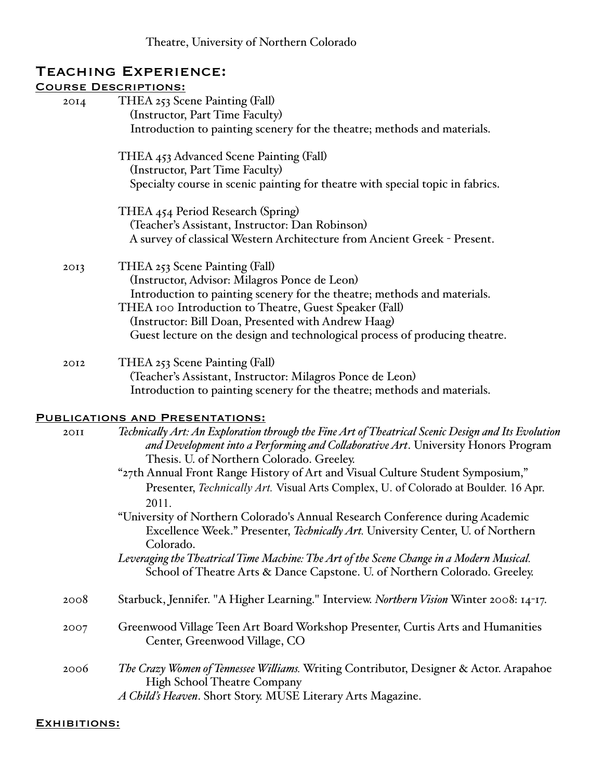| <b>TEACHING EXPERIENCE:</b> |                                                                                                    |  |
|-----------------------------|----------------------------------------------------------------------------------------------------|--|
|                             | <b>COURSE DESCRIPTIONS:</b>                                                                        |  |
| 20I4                        | THEA 253 Scene Painting (Fall)                                                                     |  |
|                             | (Instructor, Part Time Faculty)                                                                    |  |
|                             | Introduction to painting scenery for the theatre; methods and materials.                           |  |
|                             | THEA 453 Advanced Scene Painting (Fall)                                                            |  |
|                             | (Instructor, Part Time Faculty)                                                                    |  |
|                             | Specialty course in scenic painting for theatre with special topic in fabrics.                     |  |
|                             | THEA 454 Period Research (Spring)                                                                  |  |
|                             | (Teacher's Assistant, Instructor: Dan Robinson)                                                    |  |
|                             | A survey of classical Western Architecture from Ancient Greek - Present.                           |  |
| 2013                        | THEA 253 Scene Painting (Fall)                                                                     |  |
|                             | (Instructor, Advisor: Milagros Ponce de Leon)                                                      |  |
|                             | Introduction to painting scenery for the theatre; methods and materials.                           |  |
|                             | THEA 100 Introduction to Theatre, Guest Speaker (Fall)                                             |  |
|                             | (Instructor: Bill Doan, Presented with Andrew Haag)                                                |  |
|                             | Guest lecture on the design and technological process of producing theatre.                        |  |
| 2012                        | THEA 253 Scene Painting (Fall)                                                                     |  |
|                             | (Teacher's Assistant, Instructor: Milagros Ponce de Leon)                                          |  |
|                             | Introduction to painting scenery for the theatre; methods and materials.                           |  |
|                             | <b>PUBLICATIONS AND PRESENTATIONS:</b>                                                             |  |
| <b>20II</b>                 | Technically Art: An Exploration through the Fine Art of Theatrical Scenic Design and Its Evolution |  |
|                             | and Development into a Performing and Collaborative Art. University Honors Program                 |  |
|                             | Thesis. U. of Northern Colorado. Greeley.                                                          |  |
|                             | "27th Annual Front Range History of Art and Visual Culture Student Symposium,"                     |  |
|                             | Presenter, Technically Art. Visual Arts Complex, U. of Colorado at Boulder. 16 Apr.<br>2011.       |  |
|                             | "University of Northern Colorado's Annual Research Conference during Academic                      |  |
|                             | Excellence Week." Presenter, Technically Art. University Center, U. of Northern<br>Colorado.       |  |
|                             | Leveraging the Theatrical Time Machine: The Art of the Scene Change in a Modern Musical.           |  |
|                             | School of Theatre Arts & Dance Capstone. U. of Northern Colorado. Greeley.                         |  |
| 2008                        | Starbuck, Jennifer. "A Higher Learning." Interview. Northern Vision Winter 2008: 14-17.            |  |
| 2007                        | Greenwood Village Teen Art Board Workshop Presenter, Curtis Arts and Humanities                    |  |
|                             | Center, Greenwood Village, CO                                                                      |  |
| 2006                        | The Crazy Women of Tennessee Williams. Writing Contributor, Designer & Actor. Arapahoe             |  |
|                             | <b>High School Theatre Company</b>                                                                 |  |
|                             | A Child's Heaven. Short Story. MUSE Literary Arts Magazine.                                        |  |

### EXHIBITIONS: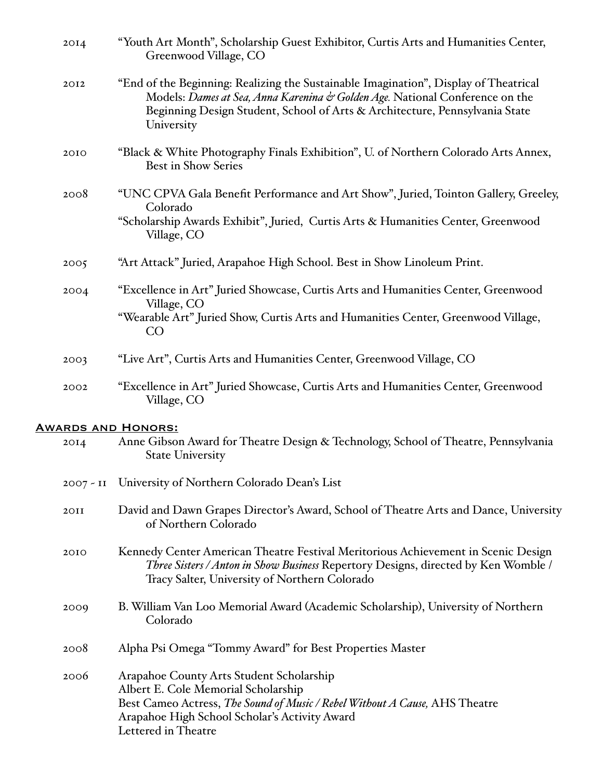| 20I4                      | "Youth Art Month", Scholarship Guest Exhibitor, Curtis Arts and Humanities Center,<br>Greenwood Village, CO                                                                                                                                                       |
|---------------------------|-------------------------------------------------------------------------------------------------------------------------------------------------------------------------------------------------------------------------------------------------------------------|
| 2012                      | "End of the Beginning: Realizing the Sustainable Imagination", Display of Theatrical<br>Models: Dames at Sea, Anna Karenina & Golden Age. National Conference on the<br>Beginning Design Student, School of Arts & Architecture, Pennsylvania State<br>University |
| 2010                      | "Black & White Photography Finals Exhibition", U. of Northern Colorado Arts Annex,<br><b>Best in Show Series</b>                                                                                                                                                  |
| 2008                      | "UNC CPVA Gala Benefit Performance and Art Show", Juried, Tointon Gallery, Greeley,<br>Colorado<br>"Scholarship Awards Exhibit", Juried, Curtis Arts & Humanities Center, Greenwood<br>Village, CO                                                                |
| 2005                      | "Art Attack" Juried, Arapahoe High School. Best in Show Linoleum Print.                                                                                                                                                                                           |
| 2004                      | "Excellence in Art" Juried Showcase, Curtis Arts and Humanities Center, Greenwood<br>Village, CO<br>"Wearable Art" Juried Show, Curtis Arts and Humanities Center, Greenwood Village,<br>CO                                                                       |
| 2003                      | "Live Art", Curtis Arts and Humanities Center, Greenwood Village, CO                                                                                                                                                                                              |
| 2002                      | "Excellence in Art" Juried Showcase, Curtis Arts and Humanities Center, Greenwood<br>Village, CO                                                                                                                                                                  |
| <b>AWARDS AND HONORS:</b> |                                                                                                                                                                                                                                                                   |
| 20I4                      | Anne Gibson Award for Theatre Design & Technology, School of Theatre, Pennsylvania<br><b>State University</b>                                                                                                                                                     |
|                           | 2007 - II University of Northern Colorado Dean's List                                                                                                                                                                                                             |
| 2OII                      | David and Dawn Grapes Director's Award, School of Theatre Arts and Dance, University<br>of Northern Colorado                                                                                                                                                      |
| 2010                      | Kennedy Center American Theatre Festival Meritorious Achievement in Scenic Design<br>Three Sisters / Anton in Show Business Repertory Designs, directed by Ken Womble /<br>Tracy Salter, University of Northern Colorado                                          |
| 2009                      | B. William Van Loo Memorial Award (Academic Scholarship), University of Northern<br>Colorado                                                                                                                                                                      |
| 2008                      | Alpha Psi Omega "Tommy Award" for Best Properties Master                                                                                                                                                                                                          |
| 2006                      | Arapahoe County Arts Student Scholarship<br>Albert E. Cole Memorial Scholarship<br>Best Cameo Actress, The Sound of Music / Rebel Without A Cause, AHS Theatre<br>Arapahoe High School Scholar's Activity Award<br>Lettered in Theatre                            |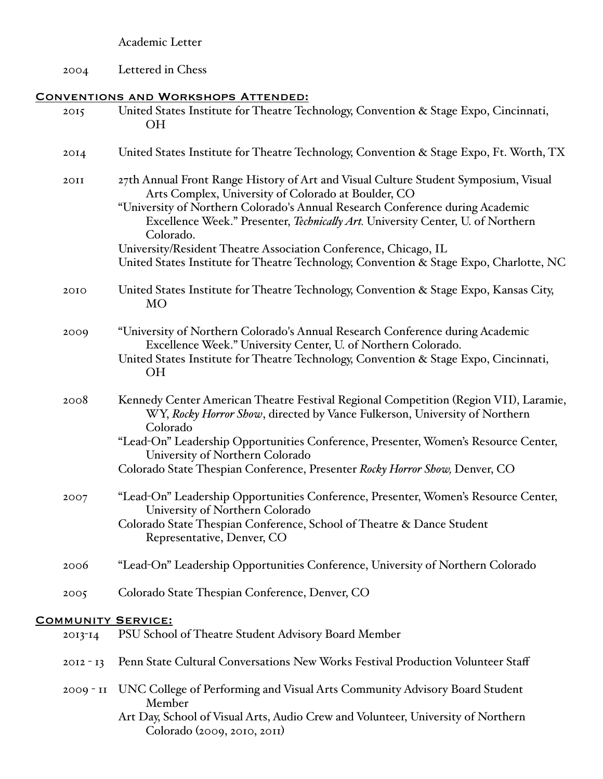## Academic Letter

2004 Lettered in Chess

# Conventions and Workshops Attended:

| 2015        | United States Institute for Theatre Technology, Convention & Stage Expo, Cincinnati,<br>OН                                                                                                                                                                                                                                                                                             |
|-------------|----------------------------------------------------------------------------------------------------------------------------------------------------------------------------------------------------------------------------------------------------------------------------------------------------------------------------------------------------------------------------------------|
| 2014        | United States Institute for Theatre Technology, Convention & Stage Expo, Ft. Worth, TX                                                                                                                                                                                                                                                                                                 |
| 2OII        | 27th Annual Front Range History of Art and Visual Culture Student Symposium, Visual<br>Arts Complex, University of Colorado at Boulder, CO<br>"University of Northern Colorado's Annual Research Conference during Academic<br>Excellence Week." Presenter, Technically Art. University Center, U. of Northern<br>Colorado.                                                            |
|             | University/Resident Theatre Association Conference, Chicago, IL<br>United States Institute for Theatre Technology, Convention & Stage Expo, Charlotte, NC                                                                                                                                                                                                                              |
| 2010        | United States Institute for Theatre Technology, Convention & Stage Expo, Kansas City,<br>MO                                                                                                                                                                                                                                                                                            |
| 2009        | "University of Northern Colorado's Annual Research Conference during Academic<br>Excellence Week." University Center, U. of Northern Colorado.<br>United States Institute for Theatre Technology, Convention & Stage Expo, Cincinnati,<br><b>OH</b>                                                                                                                                    |
| 2008        | Kennedy Center American Theatre Festival Regional Competition (Region VII), Laramie,<br>WY, Rocky Horror Show, directed by Vance Fulkerson, University of Northern<br>Colorado<br>"Lead-On" Leadership Opportunities Conference, Presenter, Women's Resource Center,<br>University of Northern Colorado<br>Colorado State Thespian Conference, Presenter Rocky Horror Show, Denver, CO |
| 2007        | "Lead-On" Leadership Opportunities Conference, Presenter, Women's Resource Center,<br>University of Northern Colorado<br>Colorado State Thespian Conference, School of Theatre & Dance Student<br>Representative, Denver, CO                                                                                                                                                           |
| 2006        | "Lead-On" Leadership Opportunities Conference, University of Northern Colorado                                                                                                                                                                                                                                                                                                         |
| 2005        | Colorado State Thespian Conference, Denver, CO                                                                                                                                                                                                                                                                                                                                         |
|             | <b>COMMUNITY SERVICE:</b>                                                                                                                                                                                                                                                                                                                                                              |
| 2013-14     | PSU School of Theatre Student Advisory Board Member                                                                                                                                                                                                                                                                                                                                    |
| $20I2 - I3$ | Penn State Cultural Conversations New Works Festival Production Volunteer Staff                                                                                                                                                                                                                                                                                                        |
| $2009 - II$ | UNC College of Performing and Visual Arts Community Advisory Board Student<br>Member<br>Art Day, School of Visual Arts, Audio Crew and Volunteer, University of Northern<br>Colorado (2009, 2010, 2011)                                                                                                                                                                                |